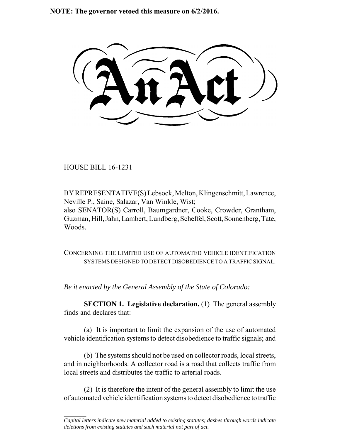**NOTE: The governor vetoed this measure on 6/2/2016.**

HOUSE BILL 16-1231

 $\frac{1}{2}$ 

BY REPRESENTATIVE(S) Lebsock, Melton, Klingenschmitt, Lawrence, Neville P., Saine, Salazar, Van Winkle, Wist; also SENATOR(S) Carroll, Baumgardner, Cooke, Crowder, Grantham, Guzman, Hill, Jahn, Lambert, Lundberg, Scheffel, Scott, Sonnenberg, Tate, Woods.

CONCERNING THE LIMITED USE OF AUTOMATED VEHICLE IDENTIFICATION SYSTEMS DESIGNED TO DETECT DISOBEDIENCE TO A TRAFFIC SIGNAL.

*Be it enacted by the General Assembly of the State of Colorado:*

**SECTION 1. Legislative declaration.** (1) The general assembly finds and declares that:

(a) It is important to limit the expansion of the use of automated vehicle identification systems to detect disobedience to traffic signals; and

(b) The systems should not be used on collector roads, local streets, and in neighborhoods. A collector road is a road that collects traffic from local streets and distributes the traffic to arterial roads.

(2) It is therefore the intent of the general assembly to limit the use of automated vehicle identification systems to detect disobedience to traffic

*Capital letters indicate new material added to existing statutes; dashes through words indicate deletions from existing statutes and such material not part of act.*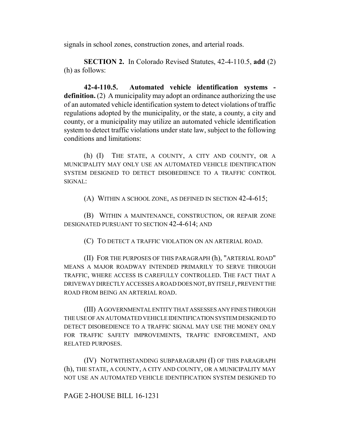signals in school zones, construction zones, and arterial roads.

**SECTION 2.** In Colorado Revised Statutes, 42-4-110.5, **add** (2) (h) as follows:

**42-4-110.5. Automated vehicle identification systems definition.** (2) A municipality may adopt an ordinance authorizing the use of an automated vehicle identification system to detect violations of traffic regulations adopted by the municipality, or the state, a county, a city and county, or a municipality may utilize an automated vehicle identification system to detect traffic violations under state law, subject to the following conditions and limitations:

(h) (I) THE STATE, A COUNTY, A CITY AND COUNTY, OR A MUNICIPALITY MAY ONLY USE AN AUTOMATED VEHICLE IDENTIFICATION SYSTEM DESIGNED TO DETECT DISOBEDIENCE TO A TRAFFIC CONTROL SIGNAL:

(A) WITHIN A SCHOOL ZONE, AS DEFINED IN SECTION 42-4-615;

(B) WITHIN A MAINTENANCE, CONSTRUCTION, OR REPAIR ZONE DESIGNATED PURSUANT TO SECTION 42-4-614; AND

(C) TO DETECT A TRAFFIC VIOLATION ON AN ARTERIAL ROAD.

(II) FOR THE PURPOSES OF THIS PARAGRAPH (h), "ARTERIAL ROAD" MEANS A MAJOR ROADWAY INTENDED PRIMARILY TO SERVE THROUGH TRAFFIC, WHERE ACCESS IS CAREFULLY CONTROLLED. THE FACT THAT A DRIVEWAY DIRECTLY ACCESSES A ROAD DOES NOT, BY ITSELF, PREVENT THE ROAD FROM BEING AN ARTERIAL ROAD.

(III) A GOVERNMENTAL ENTITY THAT ASSESSES ANY FINES THROUGH THE USE OF AN AUTOMATED VEHICLE IDENTIFICATION SYSTEM DESIGNED TO DETECT DISOBEDIENCE TO A TRAFFIC SIGNAL MAY USE THE MONEY ONLY FOR TRAFFIC SAFETY IMPROVEMENTS, TRAFFIC ENFORCEMENT, AND RELATED PURPOSES.

(IV) NOTWITHSTANDING SUBPARAGRAPH (I) OF THIS PARAGRAPH (h), THE STATE, A COUNTY, A CITY AND COUNTY, OR A MUNICIPALITY MAY NOT USE AN AUTOMATED VEHICLE IDENTIFICATION SYSTEM DESIGNED TO

## PAGE 2-HOUSE BILL 16-1231